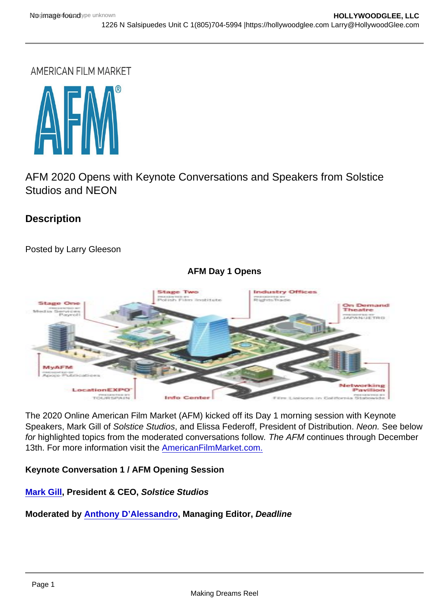AFM 2020 Opens with Keynote Conversations and Speakers from Solstice Studios and NEON

**Description** 

Posted by Larry Gleeson

AFM Day 1 Opens

The 2020 Online American Film Market (AFM) kicked off its Day 1 morning session with Keynote Speakers, Mark Gill of Solstice Studios, and Elissa Federoff, President of Distribution. Neon. See below for highlighted topics from the moderated conversations follow. The AFM continues through December 13th. For more information visit the [AmericanFilmMarket.com.](https://americanfilmmarket.com/)

Keynote Conversation 1 / AFM Opening Session

[Mark Gill](https://americanfilmmarket.com/attendee/2020-speaker-bios-g-i/#MGill) , President & CEO, Solstice Studios

Moderated by [Anthony D'Alessandro](https://americanfilmmarket.com/attendee/2020-speaker-bios-d-f/#ADAlessandro) , Managing Editor, Deadline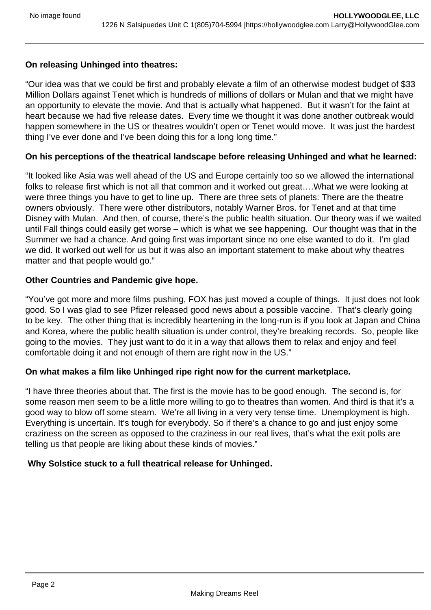# **On releasing Unhinged into theatres:**

"Our idea was that we could be first and probably elevate a film of an otherwise modest budget of \$33 Million Dollars against Tenet which is hundreds of millions of dollars or Mulan and that we might have an opportunity to elevate the movie. And that is actually what happened. But it wasn't for the faint at heart because we had five release dates. Every time we thought it was done another outbreak would happen somewhere in the US or theatres wouldn't open or Tenet would move. It was just the hardest thing I've ever done and I've been doing this for a long long time."

# **On his perceptions of the theatrical landscape before releasing Unhinged and what he learned:**

"It looked like Asia was well ahead of the US and Europe certainly too so we allowed the international folks to release first which is not all that common and it worked out great….What we were looking at were three things you have to get to line up. There are three sets of planets: There are the theatre owners obviously. There were other distributors, notably Warner Bros. for Tenet and at that time Disney with Mulan. And then, of course, there's the public health situation. Our theory was if we waited until Fall things could easily get worse – which is what we see happening. Our thought was that in the Summer we had a chance. And going first was important since no one else wanted to do it. I'm glad we did. It worked out well for us but it was also an important statement to make about why theatres matter and that people would go."

#### **Other Countries and Pandemic give hope.**

"You've got more and more films pushing, FOX has just moved a couple of things. It just does not look good. So I was glad to see Pfizer released good news about a possible vaccine. That's clearly going to be key. The other thing that is incredibly heartening in the long-run is if you look at Japan and China and Korea, where the public health situation is under control, they're breaking records. So, people like going to the movies. They just want to do it in a way that allows them to relax and enjoy and feel comfortable doing it and not enough of them are right now in the US."

# **On what makes a film like Unhinged ripe right now for the current marketplace.**

"I have three theories about that. The first is the movie has to be good enough. The second is, for some reason men seem to be a little more willing to go to theatres than women. And third is that it's a good way to blow off some steam. We're all living in a very very tense time. Unemployment is high. Everything is uncertain. It's tough for everybody. So if there's a chance to go and just enjoy some craziness on the screen as opposed to the craziness in our real lives, that's what the exit polls are telling us that people are liking about these kinds of movies."

# **Why Solstice stuck to a full theatrical release for Unhinged.**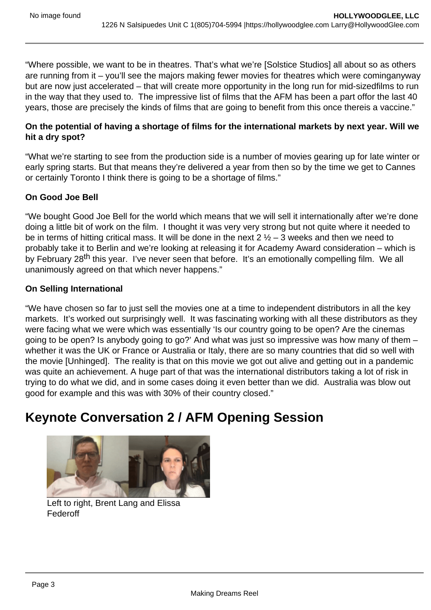"Where possible, we want to be in theatres. That's what we're [Solstice Studios] all about so as others are running from it – you'll see the majors making fewer movies for theatres which were cominganyway but are now just accelerated – that will create more opportunity in the long run for mid-sizedfilms to run in the way that they used to. The impressive list of films that the AFM has been a part offor the last 40 years, those are precisely the kinds of films that are going to benefit from this once thereis a vaccine."

On the potential of having a shortage of films for the international markets by next year. Will we hit a dry spot?

"What we're starting to see from the production side is a number of movies gearing up for late winter or early spring starts. But that means they're delivered a year from then so by the time we get to Cannes or certainly Toronto I think there is going to be a shortage of films."

#### On Good Joe Bell

"We bought Good Joe Bell for the world which means that we will sell it internationally after we're done doing a little bit of work on the film. I thought it was very very strong but not quite where it needed to be in terms of hitting critical mass. It will be done in the next  $2\frac{1}{2} - 3$  weeks and then we need to probably take it to Berlin and we're looking at releasing it for Academy Award consideration – which is by February 28<sup>th</sup> this year. I've never seen that before. It's an emotionally compelling film. We all unanimously agreed on that which never happens."

#### On Selling International

"We have chosen so far to just sell the movies one at a time to independent distributors in all the key markets. It's worked out surprisingly well. It was fascinating working with all these distributors as they were facing what we were which was essentially 'Is our country going to be open? Are the cinemas going to be open? Is anybody going to go?' And what was just so impressive was how many of them – whether it was the UK or France or Australia or Italy, there are so many countries that did so well with the movie [Unhinged]. The reality is that on this movie we got out alive and getting out in a pandemic was quite an achievement. A huge part of that was the international distributors taking a lot of risk in trying to do what we did, and in some cases doing it even better than we did. Australia was blow out good for example and this was with 30% of their country closed."

# Keynote Conversation 2 / AFM Opening Session

Left to right, Brent Lang and Elissa Federoff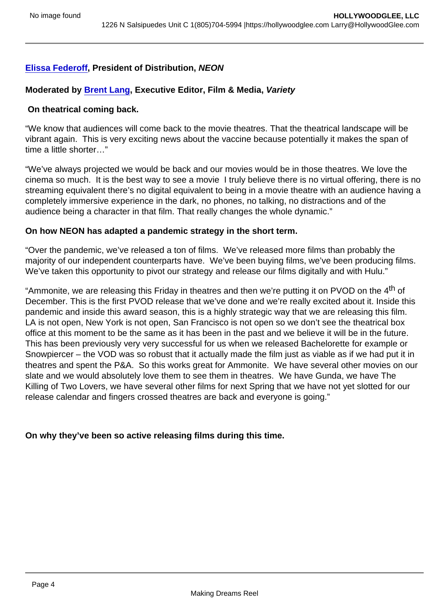[Elissa Federoff](https://americanfilmmarket.com/attendee/2020-speaker-bios-d-f/#EFederoff) , President of Distribution, NEON

Moderated by [Brent Lang](https://americanfilmmarket.com/attendee/2020-speaker-bios-j-l/#BLang) , Executive Editor, Film & Media, Variety

On theatrical coming back.

"We know that audiences will come back to the movie theatres. That the theatrical landscape will be vibrant again. This is very exciting news about the vaccine because potentially it makes the span of time a little shorter…"

"We've always projected we would be back and our movies would be in those theatres. We love the cinema so much. It is the best way to see a movie I truly believe there is no virtual offering, there is no streaming equivalent there's no digital equivalent to being in a movie theatre with an audience having a completely immersive experience in the dark, no phones, no talking, no distractions and of the audience being a character in that film. That really changes the whole dynamic."

On how NEON has adapted a pandemic strategy in the short term.

"Over the pandemic, we've released a ton of films. We've released more films than probably the majority of our independent counterparts have. We've been buying films, we've been producing films. We've taken this opportunity to pivot our strategy and release our films digitally and with Hulu."

"Ammonite, we are releasing this Friday in theatres and then we're putting it on PVOD on the 4<sup>th</sup> of December. This is the first PVOD release that we've done and we're really excited about it. Inside this pandemic and inside this award season, this is a highly strategic way that we are releasing this film. LA is not open, New York is not open, San Francisco is not open so we don't see the theatrical box office at this moment to be the same as it has been in the past and we believe it will be in the future. This has been previously very very successful for us when we released Bachelorette for example or Snowpiercer – the VOD was so robust that it actually made the film just as viable as if we had put it in theatres and spent the P&A. So this works great for Ammonite. We have several other movies on our slate and we would absolutely love them to see them in theatres. We have Gunda, we have The Killing of Two Lovers, we have several other films for next Spring that we have not yet slotted for our release calendar and fingers crossed theatres are back and everyone is going."

On why they've been so active releasing films during this time.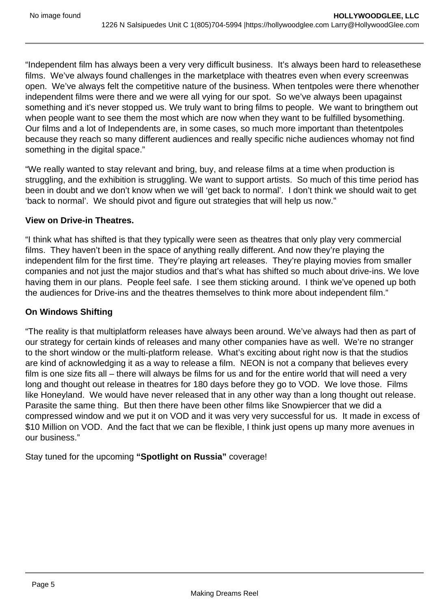"Independent film has always been a very very difficult business. It's always been hard to releasethese films. We've always found challenges in the marketplace with theatres even when every screenwas open. We've always felt the competitive nature of the business. When tentpoles were there whenother independent films were there and we were all vying for our spot. So we've always been upagainst something and it's never stopped us. We truly want to bring films to people. We want to bringthem out when people want to see them the most which are now when they want to be fulfilled bysomething. Our films and a lot of Independents are, in some cases, so much more important than thetentpoles because they reach so many different audiences and really specific niche audiences whomay not find something in the digital space."

"We really wanted to stay relevant and bring, buy, and release films at a time when production is struggling, and the exhibition is struggling. We want to support artists. So much of this time period has been in doubt and we don't know when we will 'get back to normal'. I don't think we should wait to get 'back to normal'. We should pivot and figure out strategies that will help us now."

#### **View on Drive-in Theatres.**

"I think what has shifted is that they typically were seen as theatres that only play very commercial films. They haven't been in the space of anything really different. And now they're playing the independent film for the first time. They're playing art releases. They're playing movies from smaller companies and not just the major studios and that's what has shifted so much about drive-ins. We love having them in our plans. People feel safe. I see them sticking around. I think we've opened up both the audiences for Drive-ins and the theatres themselves to think more about independent film."

# **On Windows Shifting**

"The reality is that multiplatform releases have always been around. We've always had then as part of our strategy for certain kinds of releases and many other companies have as well. We're no stranger to the short window or the multi-platform release. What's exciting about right now is that the studios are kind of acknowledging it as a way to release a film. NEON is not a company that believes every film is one size fits all – there will always be films for us and for the entire world that will need a very long and thought out release in theatres for 180 days before they go to VOD. We love those. Films like Honeyland. We would have never released that in any other way than a long thought out release. Parasite the same thing. But then there have been other films like Snowpiercer that we did a compressed window and we put it on VOD and it was very very successful for us. It made in excess of \$10 Million on VOD. And the fact that we can be flexible, I think just opens up many more avenues in our business."

Stay tuned for the upcoming **"Spotlight on Russia"** coverage!